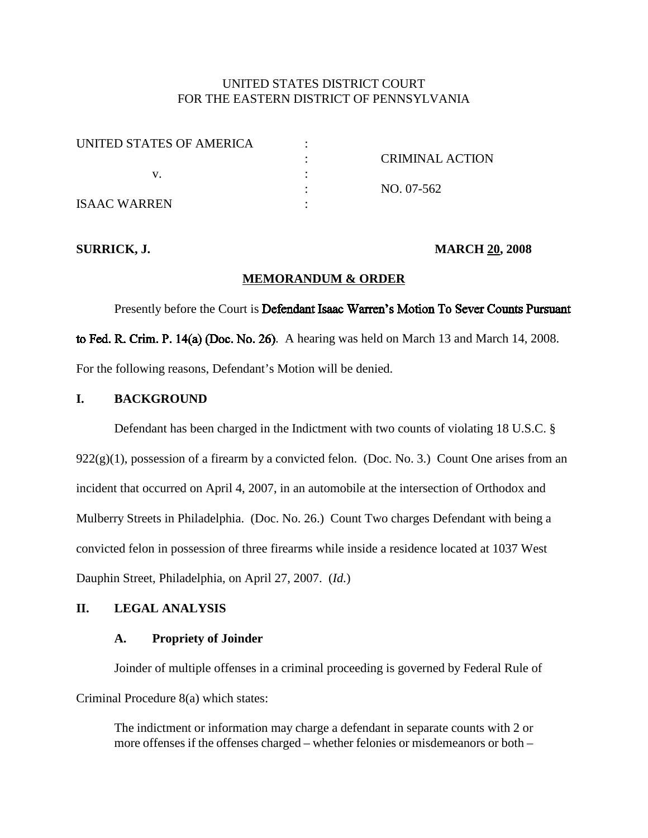# UNITED STATES DISTRICT COURT FOR THE EASTERN DISTRICT OF PENNSYLVANIA

| UNITED STATES OF AMERICA |                        |
|--------------------------|------------------------|
|                          | <b>CRIMINAL ACTION</b> |
|                          |                        |
|                          | NO. 07-562             |
| <b>ISAAC WARREN</b>      |                        |

### **SURRICK, J. MARCH 20, 2008**

### **MEMORANDUM & ORDER**

Presently before the Court is Defendant Isaac Warren's Motion To Sever Counts Pursuant to Fed. R. Crim. P.  $14(a)$  (Doc. No. 26). A hearing was held on March 13 and March 14, 2008. For the following reasons, Defendant's Motion will be denied.

### **I. BACKGROUND**

Defendant has been charged in the Indictment with two counts of violating 18 U.S.C. §  $922(g)(1)$ , possession of a firearm by a convicted felon. (Doc. No. 3.) Count One arises from an incident that occurred on April 4, 2007, in an automobile at the intersection of Orthodox and Mulberry Streets in Philadelphia. (Doc. No. 26.) Count Two charges Defendant with being a convicted felon in possession of three firearms while inside a residence located at 1037 West Dauphin Street, Philadelphia, on April 27, 2007. (*Id.*)

## **II. LEGAL ANALYSIS**

## **A. Propriety of Joinder**

Joinder of multiple offenses in a criminal proceeding is governed by Federal Rule of Criminal Procedure 8(a) which states:

The indictment or information may charge a defendant in separate counts with 2 or more offenses if the offenses charged – whether felonies or misdemeanors or both –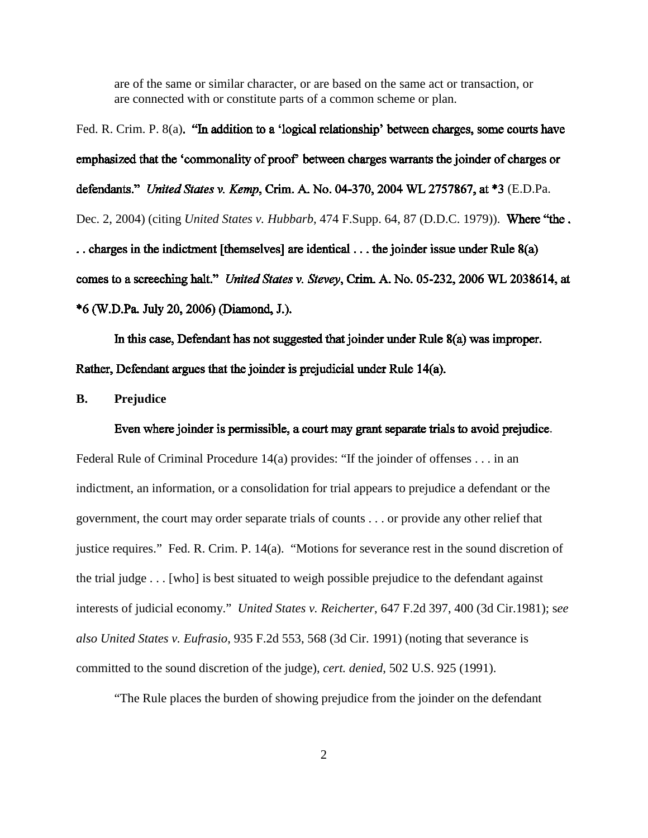are of the same or similar character, or are based on the same act or transaction, or are connected with or constitute parts of a common scheme or plan.

Fed. R. Crim. P. 8(a). "In addition to a 'logical relationship' between charges, some courts have emphasized that the 'commonality of proof' between charges warrants the joinder of charges or defendants." United States v. Kemp, Crim. A. No. 04-370, 2004 WL 2757867, at \*3 (E.D.Pa. Dec. 2, 2004) (citing *United States v. Hubbarb*, 474 F.Supp. 64, 87 (D.D.C. 1979)). .. charges in the indictment [themselves] are identical ... the joinder issue under Rule 8(a) comes to a screeching halt." United States v. Stevey, Crim. A. No. 05-232, 2006 WL 2038614, at \*6 (W.D.Pa. July 20, 2006) (Diamond, J.).

In this case, Defendant has not suggested that joinder under Rule 8(a) was improper. Rather, Defendant argues that the joinder is prejudicial under Rule 14(a).

**B. Prejudice**

#### Even where joinder is permissible, a court may grant separate trials to avoid prejudice.

Federal Rule of Criminal Procedure  $14(a)$  provides: "If the joinder of offenses . . . in an indictment, an information, or a consolidation for trial appears to prejudice a defendant or the government, the court may order separate trials of counts . . . or provide any other relief that justice requires." Fed. R. Crim. P. 14(a). "Motions for severance rest in the sound discretion of the trial judge . . . [who] is best situated to weigh possible prejudice to the defendant against interests of judicial economy." *United States v. Reicherter*, 647 F.2d 397, 400 (3d Cir.1981); s*ee also United States v. Eufrasio*, 935 F.2d 553, 568 (3d Cir. 1991) (noting that severance is committed to the sound discretion of the judge), *cert. denied*, 502 U.S. 925 (1991).

"The Rule places the burden of showing prejudice from the joinder on the defendant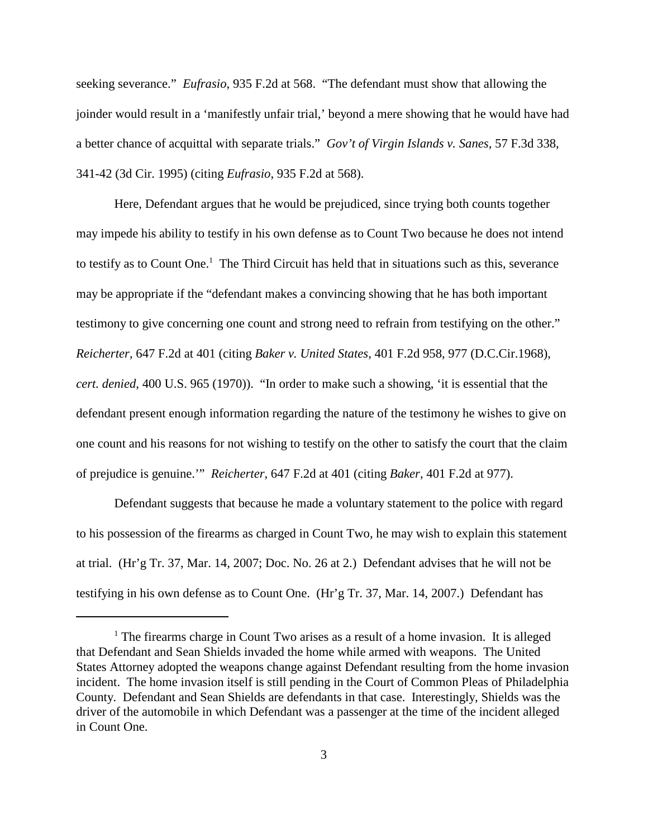seeking severance." *Eufrasio*, 935 F.2d at 568. "The defendant must show that allowing the joinder would result in a 'manifestly unfair trial,' beyond a mere showing that he would have had a better chance of acquittal with separate trials." *Gov't of Virgin Islands v. Sanes,* 57 F.3d 338, 341-42 (3d Cir. 1995) (citing *Eufrasio*, 935 F.2d at 568).

Here, Defendant argues that he would be prejudiced, since trying both counts together may impede his ability to testify in his own defense as to Count Two because he does not intend to testify as to Count One.<sup>1</sup> The Third Circuit has held that in situations such as this, severance may be appropriate if the "defendant makes a convincing showing that he has both important testimony to give concerning one count and strong need to refrain from testifying on the other." *Reicherter*, 647 F.2d at 401 (citing *Baker v. United States*, 401 F.2d 958, 977 (D.C.Cir.1968), *cert. denied*, 400 U.S. 965 (1970)). "In order to make such a showing, 'it is essential that the defendant present enough information regarding the nature of the testimony he wishes to give on one count and his reasons for not wishing to testify on the other to satisfy the court that the claim of prejudice is genuine.'" *Reicherter*, 647 F.2d at 401 (citing *Baker*, 401 F.2d at 977).

Defendant suggests that because he made a voluntary statement to the police with regard to his possession of the firearms as charged in Count Two, he may wish to explain this statement at trial. (Hr'g Tr. 37, Mar. 14, 2007; Doc. No. 26 at 2.) Defendant advises that he will not be testifying in his own defense as to Count One. (Hr'g Tr. 37, Mar. 14, 2007.) Defendant has

 $<sup>1</sup>$  The firearms charge in Count Two arises as a result of a home invasion. It is alleged</sup> that Defendant and Sean Shields invaded the home while armed with weapons. The United States Attorney adopted the weapons change against Defendant resulting from the home invasion incident. The home invasion itself is still pending in the Court of Common Pleas of Philadelphia County. Defendant and Sean Shields are defendants in that case. Interestingly, Shields was the driver of the automobile in which Defendant was a passenger at the time of the incident alleged in Count One.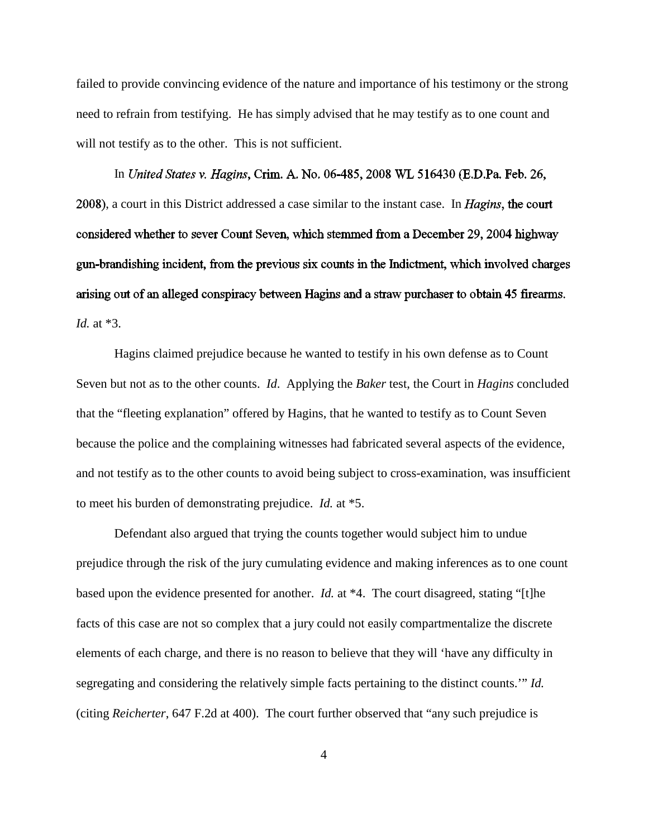failed to provide convincing evidence of the nature and importance of his testimony or the strong need to refrain from testifying. He has simply advised that he may testify as to one count and will not testify as to the other. This is not sufficient.

In United States v. Hagins, Crim. A. No. 06-485, 2008 WL 516430 (E.D.Pa. Feb. 26, 2008), a court in this District addressed a case similar to the instant case. In *Hagins*, the court considered whether to sever Count Seven, which stemmed from a December 29, 2004 highway gun-brandishing incident, from the previous six counts in the Indictment, which involved charges arising out of an alleged conspiracy between Hagins and a straw purchaser to obtain 45 firearms. *Id.* at \*3.

Hagins claimed prejudice because he wanted to testify in his own defense as to Count Seven but not as to the other counts. *Id*. Applying the *Baker* test, the Court in *Hagins* concluded that the "fleeting explanation" offered by Hagins, that he wanted to testify as to Count Seven because the police and the complaining witnesses had fabricated several aspects of the evidence, and not testify as to the other counts to avoid being subject to cross-examination, was insufficient to meet his burden of demonstrating prejudice. *Id.* at \*5.

Defendant also argued that trying the counts together would subject him to undue prejudice through the risk of the jury cumulating evidence and making inferences as to one count based upon the evidence presented for another. *Id.* at \*4. The court disagreed, stating "[t]he facts of this case are not so complex that a jury could not easily compartmentalize the discrete elements of each charge, and there is no reason to believe that they will 'have any difficulty in segregating and considering the relatively simple facts pertaining to the distinct counts.'" *Id.* (citing *Reicherter*, 647 F.2d at 400). The court further observed that "any such prejudice is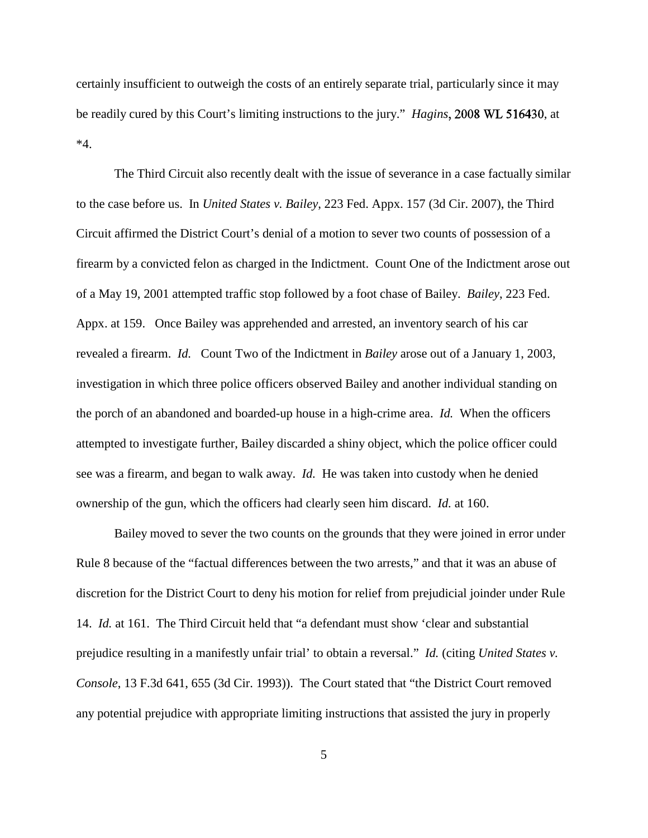certainly insufficient to outweigh the costs of an entirely separate trial, particularly since it may be readily cured by this Court's limiting instructions to the jury." *Hagins*, 2008 WL 516430, at \*4.

The Third Circuit also recently dealt with the issue of severance in a case factually similar to the case before us. In *United States v. Bailey*, 223 Fed. Appx. 157 (3d Cir. 2007), the Third Circuit affirmed the District Court's denial of a motion to sever two counts of possession of a firearm by a convicted felon as charged in the Indictment. Count One of the Indictment arose out of a May 19, 2001 attempted traffic stop followed by a foot chase of Bailey. *Bailey*, 223 Fed. Appx. at 159. Once Bailey was apprehended and arrested, an inventory search of his car revealed a firearm. *Id.* Count Two of the Indictment in *Bailey* arose out of a January 1, 2003, investigation in which three police officers observed Bailey and another individual standing on the porch of an abandoned and boarded-up house in a high-crime area. *Id.* When the officers attempted to investigate further, Bailey discarded a shiny object, which the police officer could see was a firearm, and began to walk away. *Id.* He was taken into custody when he denied ownership of the gun, which the officers had clearly seen him discard. *Id.* at 160.

Bailey moved to sever the two counts on the grounds that they were joined in error under Rule 8 because of the "factual differences between the two arrests," and that it was an abuse of discretion for the District Court to deny his motion for relief from prejudicial joinder under Rule 14. *Id.* at 161. The Third Circuit held that "a defendant must show 'clear and substantial prejudice resulting in a manifestly unfair trial' to obtain a reversal." *Id.* (citing *United States v. Console*, 13 F.3d 641, 655 (3d Cir. 1993)). The Court stated that "the District Court removed any potential prejudice with appropriate limiting instructions that assisted the jury in properly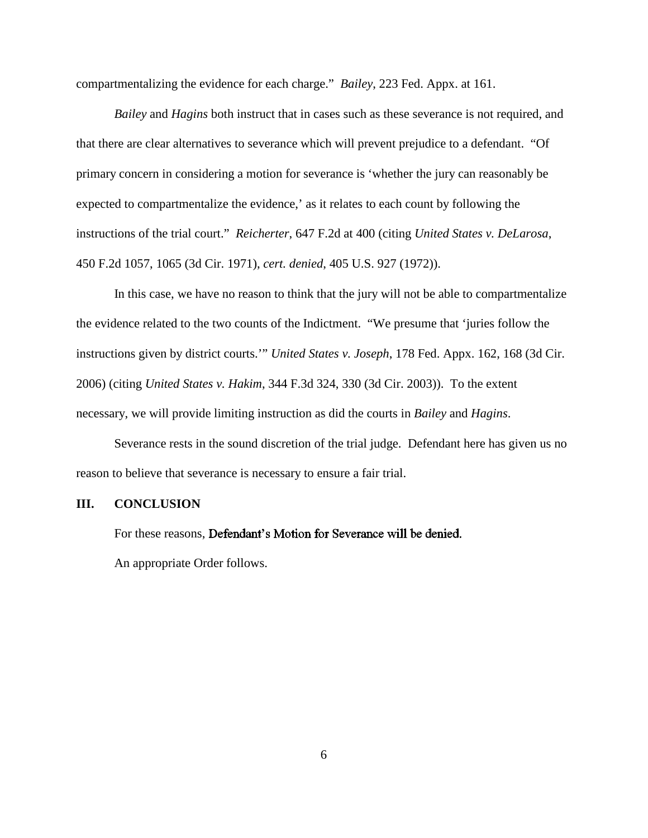compartmentalizing the evidence for each charge." *Bailey*, 223 Fed. Appx. at 161.

*Bailey* and *Hagins* both instruct that in cases such as these severance is not required, and that there are clear alternatives to severance which will prevent prejudice to a defendant. "Of primary concern in considering a motion for severance is 'whether the jury can reasonably be expected to compartmentalize the evidence,' as it relates to each count by following the instructions of the trial court." *Reicherter*, 647 F.2d at 400 (citing *United States v. DeLarosa*, 450 F.2d 1057, 1065 (3d Cir. 1971), *cert. denied*, 405 U.S. 927 (1972)).

In this case, we have no reason to think that the jury will not be able to compartmentalize the evidence related to the two counts of the Indictment. "We presume that 'juries follow the instructions given by district courts.'" *United States v. Joseph*, 178 Fed. Appx. 162, 168 (3d Cir. 2006) (citing *United States v. Hakim*, 344 F.3d 324, 330 (3d Cir. 2003)). To the extent necessary, we will provide limiting instruction as did the courts in *Bailey* and *Hagins*.

Severance rests in the sound discretion of the trial judge. Defendant here has given us no reason to believe that severance is necessary to ensure a fair trial.

#### **III. CONCLUSION**

For these reasons, Defendant's Motion for Severance will be denied.

An appropriate Order follows.